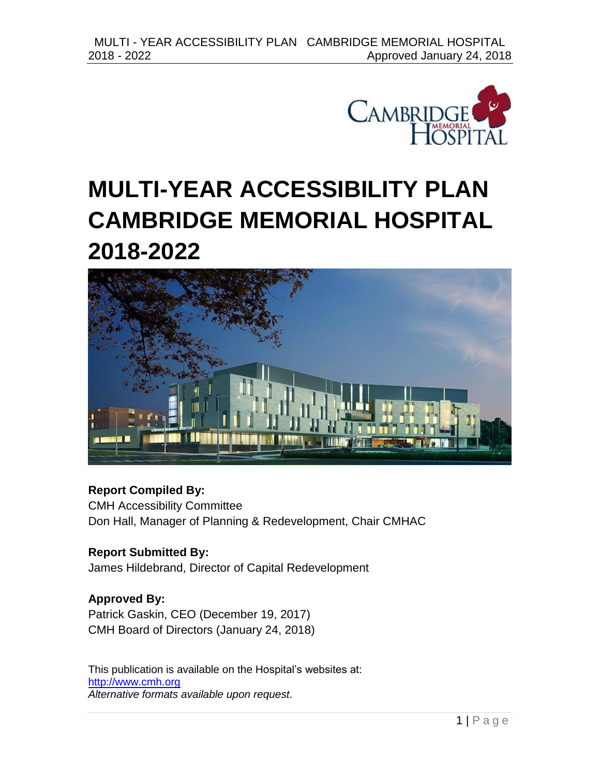



### **Report Compiled By:**

CMH Accessibility Committee Don Hall, Manager of Planning & Redevelopment, Chair CMHAC

**Report Submitted By:** James Hildebrand, Director of Capital Redevelopment

**Approved By:** Patrick Gaskin, CEO (December 19, 2017) CMH Board of Directors (January 24, 2018)

This publication is available on the Hospital's websites at: [http://www.cmh.org](http://www.cmh.org/) *Alternative formats available upon request*.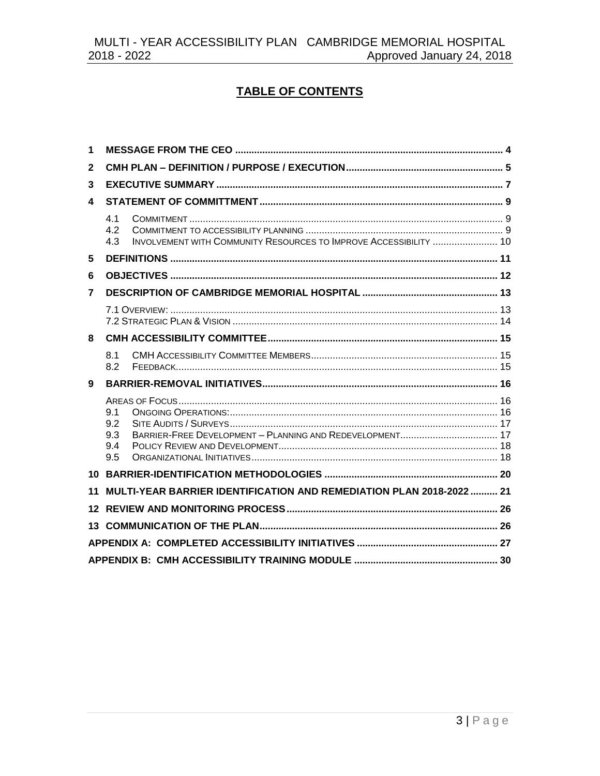### **TABLE OF CONTENTS**

| 1              |                                                                                        |  |  |  |  |  |
|----------------|----------------------------------------------------------------------------------------|--|--|--|--|--|
| $\mathbf{2}$   |                                                                                        |  |  |  |  |  |
| 3              |                                                                                        |  |  |  |  |  |
| 4              |                                                                                        |  |  |  |  |  |
|                | 4.1<br>4.2<br>INVOLVEMENT WITH COMMUNITY RESOURCES TO IMPROVE ACCESSIBILITY  10<br>4.3 |  |  |  |  |  |
| 5              |                                                                                        |  |  |  |  |  |
| 6              |                                                                                        |  |  |  |  |  |
| $\overline{7}$ |                                                                                        |  |  |  |  |  |
|                |                                                                                        |  |  |  |  |  |
| 8              |                                                                                        |  |  |  |  |  |
|                | 8.1<br>8.2                                                                             |  |  |  |  |  |
| 9              |                                                                                        |  |  |  |  |  |
|                | 9.1<br>9.2<br>9.3<br>9.4<br>9.5                                                        |  |  |  |  |  |
|                |                                                                                        |  |  |  |  |  |
| 11             | MULTI-YEAR BARRIER IDENTIFICATION AND REMEDIATION PLAN 2018-2022  21                   |  |  |  |  |  |
|                |                                                                                        |  |  |  |  |  |
|                |                                                                                        |  |  |  |  |  |
|                |                                                                                        |  |  |  |  |  |
|                |                                                                                        |  |  |  |  |  |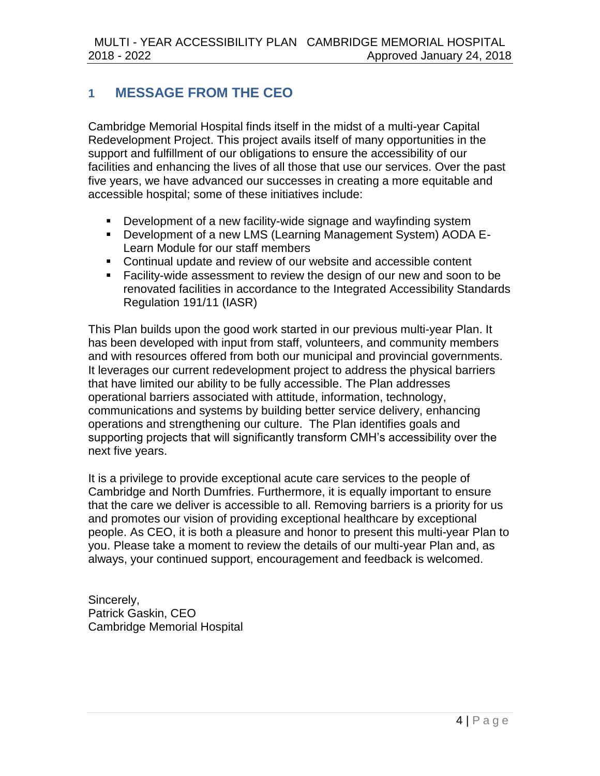# <span id="page-3-0"></span>**1 MESSAGE FROM THE CEO**

Cambridge Memorial Hospital finds itself in the midst of a multi-year Capital Redevelopment Project. This project avails itself of many opportunities in the support and fulfillment of our obligations to ensure the accessibility of our facilities and enhancing the lives of all those that use our services. Over the past five years, we have advanced our successes in creating a more equitable and accessible hospital; some of these initiatives include:

- Development of a new facility-wide signage and wayfinding system
- Development of a new LMS (Learning Management System) AODA E-Learn Module for our staff members
- Continual update and review of our website and accessible content
- **Facility-wide assessment to review the design of our new and soon to be** renovated facilities in accordance to the Integrated Accessibility Standards Regulation 191/11 (IASR)

This Plan builds upon the good work started in our previous multi-year Plan. It has been developed with input from staff, volunteers, and community members and with resources offered from both our municipal and provincial governments. It leverages our current redevelopment project to address the physical barriers that have limited our ability to be fully accessible. The Plan addresses operational barriers associated with attitude, information, technology, communications and systems by building better service delivery, enhancing operations and strengthening our culture. The Plan identifies goals and supporting projects that will significantly transform CMH's accessibility over the next five years.

It is a privilege to provide exceptional acute care services to the people of Cambridge and North Dumfries. Furthermore, it is equally important to ensure that the care we deliver is accessible to all. Removing barriers is a priority for us and promotes our vision of providing exceptional healthcare by exceptional people. As CEO, it is both a pleasure and honor to present this multi-year Plan to you. Please take a moment to review the details of our multi-year Plan and, as always, your continued support, encouragement and feedback is welcomed.

Sincerely, Patrick Gaskin, CEO Cambridge Memorial Hospital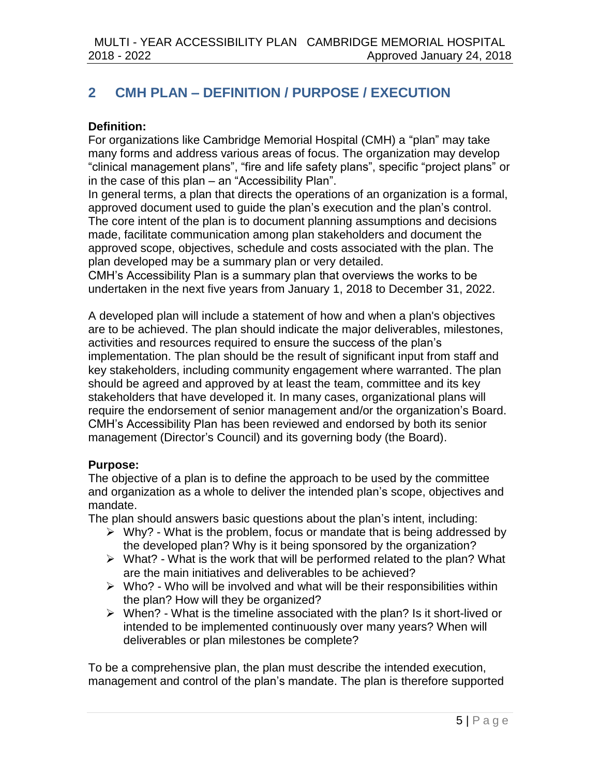# <span id="page-4-0"></span>**2 CMH PLAN – DEFINITION / PURPOSE / EXECUTION**

#### **Definition:**

For organizations like Cambridge Memorial Hospital (CMH) a "plan" may take many forms and address various areas of focus. The organization may develop "clinical management plans", "fire and life safety plans", specific "project plans" or in the case of this plan – an "Accessibility Plan".

In general terms, a plan that directs the operations of an organization is a formal, approved document used to guide the plan's execution and the plan's control. The core intent of the plan is to document planning assumptions and decisions made, facilitate communication among plan stakeholders and document the approved scope, objectives, schedule and costs associated with the plan. The plan developed may be a summary plan or very detailed.

CMH's Accessibility Plan is a summary plan that overviews the works to be undertaken in the next five years from January 1, 2018 to December 31, 2022.

A developed plan will include a statement of how and when a plan's objectives are to be achieved. The plan should indicate the major deliverables, milestones, activities and resources required to ensure the success of the plan's implementation. The plan should be the result of significant input from staff and key stakeholders, including community engagement where warranted. The plan should be agreed and approved by at least the team, committee and its key stakeholders that have developed it. In many cases, organizational plans will require the endorsement of senior management and/or the organization's Board. CMH's Accessibility Plan has been reviewed and endorsed by both its senior management (Director's Council) and its governing body (the Board).

### **Purpose:**

The objective of a plan is to define the approach to be used by the committee and organization as a whole to deliver the intended plan's scope, objectives and mandate.

The plan should answers basic questions about the plan's intent, including:

- $\triangleright$  Why? What is the problem, focus or mandate that is being addressed by the developed plan? Why is it being sponsored by the organization?
- $\triangleright$  What? What is the work that will be performed related to the plan? What are the main initiatives and deliverables to be achieved?
- $\triangleright$  Who? Who will be involved and what will be their responsibilities within the plan? How will they be organized?
- $\triangleright$  When? What is the timeline associated with the plan? Is it short-lived or intended to be implemented continuously over many years? When will deliverables or plan milestones be complete?

To be a comprehensive plan, the plan must describe the intended execution, management and control of the plan's mandate. The plan is therefore supported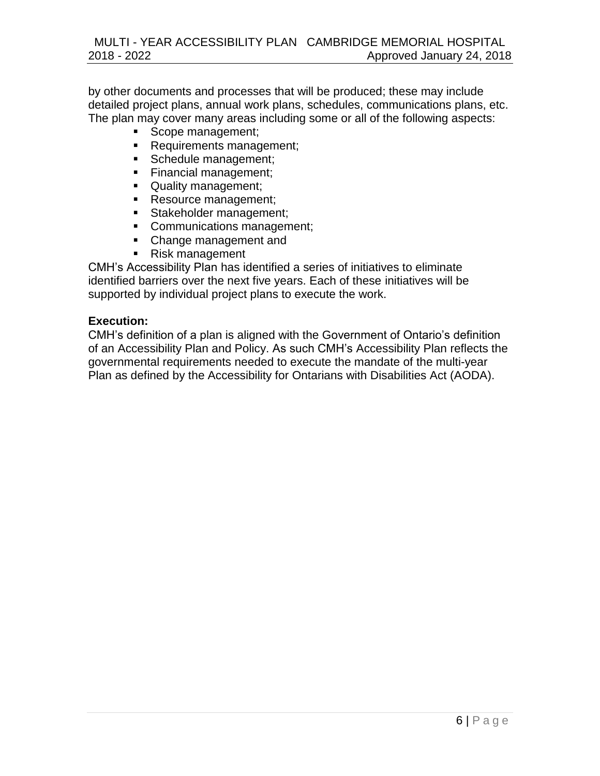by other documents and processes that will be produced; these may include detailed project plans, annual work plans, schedules, communications plans, etc. The plan may cover many areas including some or all of the following aspects:

- Scope management;
- **Requirements management;**
- Schedule management;
- Financial management;
- **Quality management;**
- Resource management;
- Stakeholder management;
- **Communications management;**
- **Change management and**
- Risk management

CMH's Accessibility Plan has identified a series of initiatives to eliminate identified barriers over the next five years. Each of these initiatives will be supported by individual project plans to execute the work.

#### **Execution:**

CMH's definition of a plan is aligned with the Government of Ontario's definition of an Accessibility Plan and Policy. As such CMH's Accessibility Plan reflects the governmental requirements needed to execute the mandate of the multi-year Plan as defined by the Accessibility for Ontarians with Disabilities Act (AODA).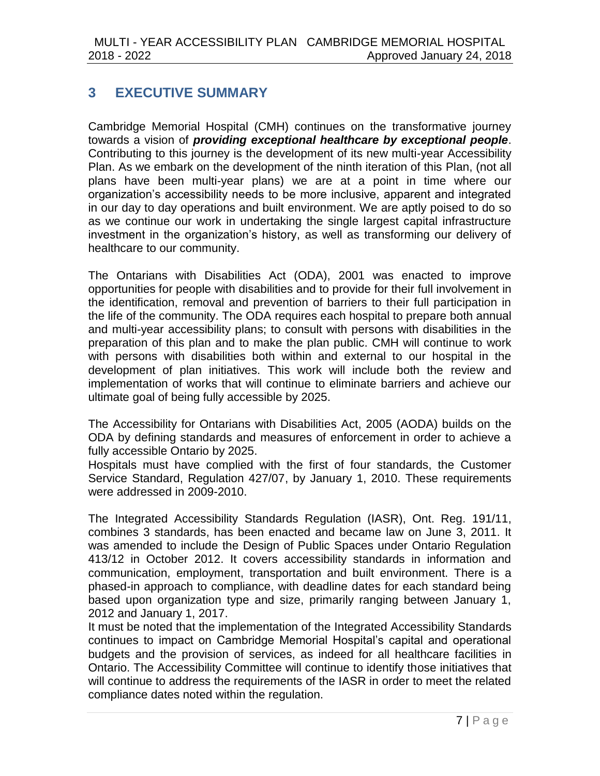# <span id="page-6-0"></span>**3 EXECUTIVE SUMMARY**

Cambridge Memorial Hospital (CMH) continues on the transformative journey towards a vision of *providing exceptional healthcare by exceptional people*. Contributing to this journey is the development of its new multi-year Accessibility Plan. As we embark on the development of the ninth iteration of this Plan, (not all plans have been multi-year plans) we are at a point in time where our organization's accessibility needs to be more inclusive, apparent and integrated in our day to day operations and built environment. We are aptly poised to do so as we continue our work in undertaking the single largest capital infrastructure investment in the organization's history, as well as transforming our delivery of healthcare to our community.

The Ontarians with Disabilities Act (ODA), 2001 was enacted to improve opportunities for people with disabilities and to provide for their full involvement in the identification, removal and prevention of barriers to their full participation in the life of the community. The ODA requires each hospital to prepare both annual and multi-year accessibility plans; to consult with persons with disabilities in the preparation of this plan and to make the plan public. CMH will continue to work with persons with disabilities both within and external to our hospital in the development of plan initiatives. This work will include both the review and implementation of works that will continue to eliminate barriers and achieve our ultimate goal of being fully accessible by 2025.

The Accessibility for Ontarians with Disabilities Act, 2005 (AODA) builds on the ODA by defining standards and measures of enforcement in order to achieve a fully accessible Ontario by 2025.

Hospitals must have complied with the first of four standards, the Customer Service Standard, Regulation 427/07, by January 1, 2010. These requirements were addressed in 2009-2010.

The Integrated Accessibility Standards Regulation (IASR), Ont. Reg. 191/11, combines 3 standards, has been enacted and became law on June 3, 2011. It was amended to include the Design of Public Spaces under Ontario Regulation 413/12 in October 2012. It covers accessibility standards in information and communication, employment, transportation and built environment. There is a phased-in approach to compliance, with deadline dates for each standard being based upon organization type and size, primarily ranging between January 1, 2012 and January 1, 2017.

It must be noted that the implementation of the Integrated Accessibility Standards continues to impact on Cambridge Memorial Hospital's capital and operational budgets and the provision of services, as indeed for all healthcare facilities in Ontario. The Accessibility Committee will continue to identify those initiatives that will continue to address the requirements of the IASR in order to meet the related compliance dates noted within the regulation.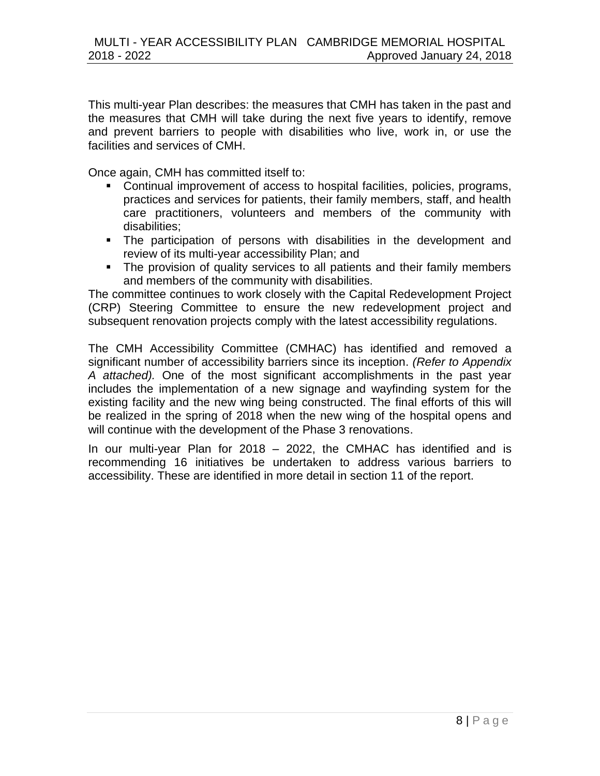This multi-year Plan describes: the measures that CMH has taken in the past and the measures that CMH will take during the next five years to identify, remove and prevent barriers to people with disabilities who live, work in, or use the facilities and services of CMH.

Once again, CMH has committed itself to:

- Continual improvement of access to hospital facilities, policies, programs, practices and services for patients, their family members, staff, and health care practitioners, volunteers and members of the community with disabilities;
- The participation of persons with disabilities in the development and review of its multi-year accessibility Plan; and
- The provision of quality services to all patients and their family members and members of the community with disabilities.

The committee continues to work closely with the Capital Redevelopment Project (CRP) Steering Committee to ensure the new redevelopment project and subsequent renovation projects comply with the latest accessibility regulations.

The CMH Accessibility Committee (CMHAC) has identified and removed a significant number of accessibility barriers since its inception. *(Refer to Appendix A attached).* One of the most significant accomplishments in the past year includes the implementation of a new signage and wayfinding system for the existing facility and the new wing being constructed. The final efforts of this will be realized in the spring of 2018 when the new wing of the hospital opens and will continue with the development of the Phase 3 renovations.

In our multi-year Plan for 2018 – 2022, the CMHAC has identified and is recommending 16 initiatives be undertaken to address various barriers to accessibility. These are identified in more detail in section 11 of the report.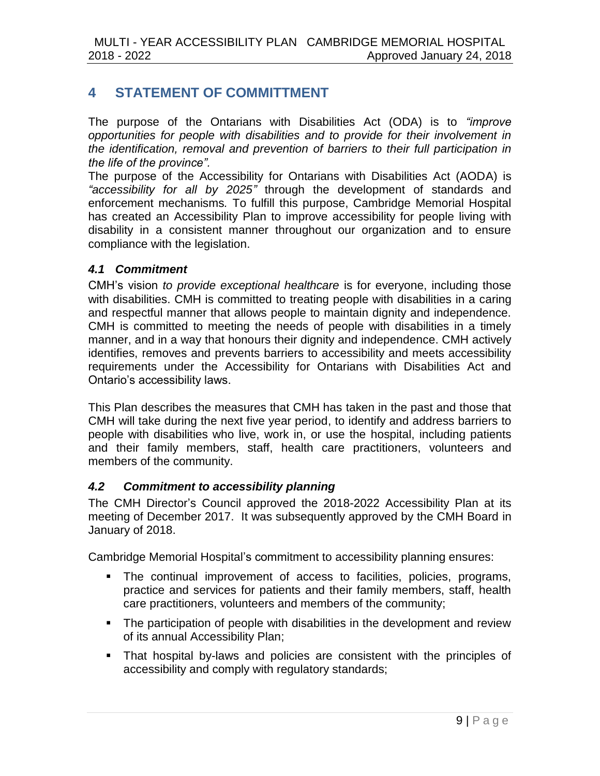# <span id="page-8-0"></span>**4 STATEMENT OF COMMITTMENT**

The purpose of the Ontarians with Disabilities Act (ODA) is to *"improve opportunities for people with disabilities and to provide for their involvement in the identification, removal and prevention of barriers to their full participation in the life of the province".*

The purpose of the Accessibility for Ontarians with Disabilities Act (AODA) is *"accessibility for all by 2025"* through the development of standards and enforcement mechanisms*.* To fulfill this purpose, Cambridge Memorial Hospital has created an Accessibility Plan to improve accessibility for people living with disability in a consistent manner throughout our organization and to ensure compliance with the legislation.

#### <span id="page-8-1"></span>*4.1 Commitment*

CMH's vision *to provide exceptional healthcare* is for everyone, including those with disabilities. CMH is committed to treating people with disabilities in a caring and respectful manner that allows people to maintain dignity and independence. CMH is committed to meeting the needs of people with disabilities in a timely manner, and in a way that honours their dignity and independence. CMH actively identifies, removes and prevents barriers to accessibility and meets accessibility requirements under the Accessibility for Ontarians with Disabilities Act and Ontario's accessibility laws.

This Plan describes the measures that CMH has taken in the past and those that CMH will take during the next five year period, to identify and address barriers to people with disabilities who live, work in, or use the hospital, including patients and their family members, staff, health care practitioners, volunteers and members of the community.

### <span id="page-8-2"></span>*4.2 Commitment to accessibility planning*

The CMH Director's Council approved the 2018-2022 Accessibility Plan at its meeting of December 2017. It was subsequently approved by the CMH Board in January of 2018.

Cambridge Memorial Hospital's commitment to accessibility planning ensures:

- The continual improvement of access to facilities, policies, programs, practice and services for patients and their family members, staff, health care practitioners, volunteers and members of the community;
- The participation of people with disabilities in the development and review of its annual Accessibility Plan;
- That hospital by-laws and policies are consistent with the principles of accessibility and comply with regulatory standards;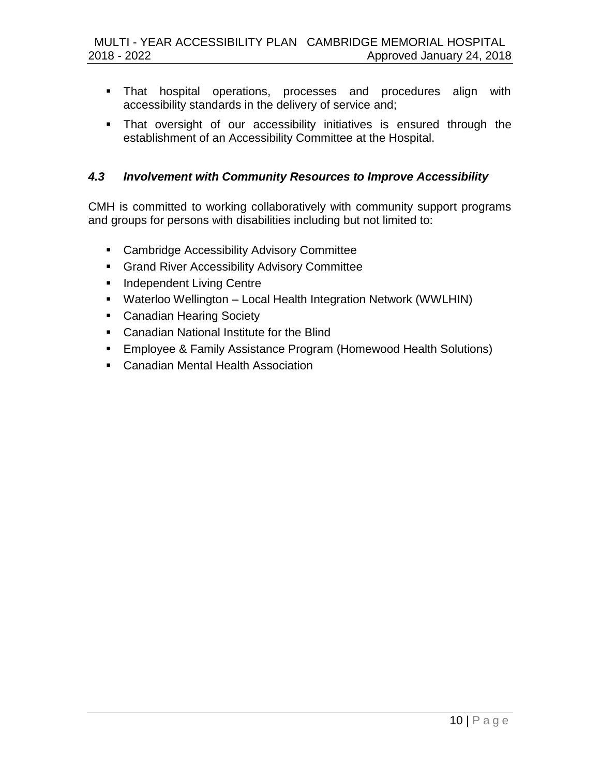- That hospital operations, processes and procedures align with accessibility standards in the delivery of service and;
- **That oversight of our accessibility initiatives is ensured through the** establishment of an Accessibility Committee at the Hospital.

### <span id="page-9-0"></span>*4.3 Involvement with Community Resources to Improve Accessibility*

CMH is committed to working collaboratively with community support programs and groups for persons with disabilities including but not limited to:

- **EXEC** Cambridge Accessibility Advisory Committee
- **Grand River Accessibility Advisory Committee**
- **Independent Living Centre**
- Waterloo Wellington Local Health Integration Network (WWLHIN)
- **Canadian Hearing Society**
- Canadian National Institute for the Blind
- **Employee & Family Assistance Program (Homewood Health Solutions)**
- **E.** Canadian Mental Health Association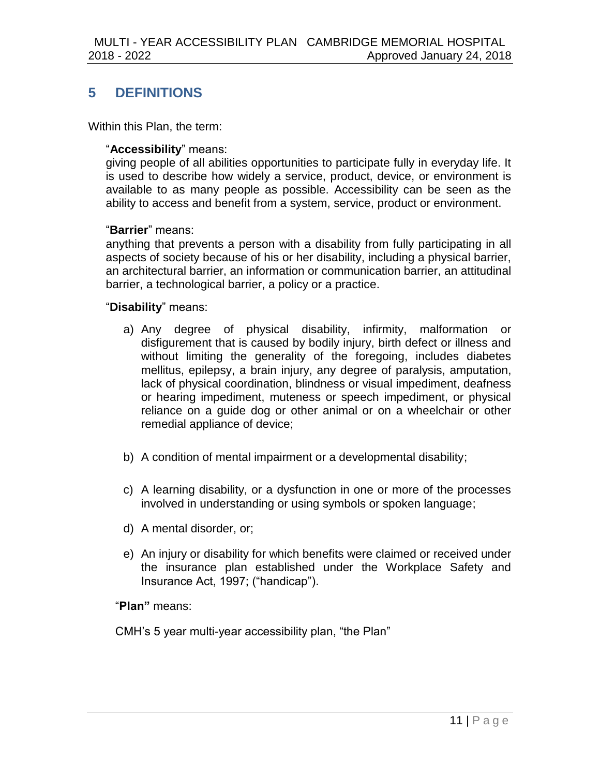# <span id="page-10-0"></span>**5 DEFINITIONS**

Within this Plan, the term:

#### "**Accessibility**" means:

giving people of all abilities opportunities to participate fully in everyday life. It is used to describe how widely a service, product, device, or environment is available to as many people as possible. Accessibility can be seen as the ability to access and benefit from a system, service, product or environment.

#### "**Barrier**" means:

anything that prevents a person with a disability from fully participating in all aspects of society because of his or her disability, including a physical barrier, an architectural barrier, an information or communication barrier, an attitudinal barrier, a technological barrier, a policy or a practice.

#### "**Disability**" means:

- a) Any degree of physical disability, infirmity, malformation or disfigurement that is caused by bodily injury, birth defect or illness and without limiting the generality of the foregoing, includes diabetes mellitus, epilepsy, a brain injury, any degree of paralysis, amputation, lack of physical coordination, blindness or visual impediment, deafness or hearing impediment, muteness or speech impediment, or physical reliance on a guide dog or other animal or on a wheelchair or other remedial appliance of device;
- b) A condition of mental impairment or a developmental disability;
- c) A learning disability, or a dysfunction in one or more of the processes involved in understanding or using symbols or spoken language;
- d) A mental disorder, or;
- e) An injury or disability for which benefits were claimed or received under the insurance plan established under the Workplace Safety and Insurance Act, 1997; ("handicap").

"**Plan"** means:

CMH's 5 year multi-year accessibility plan, "the Plan"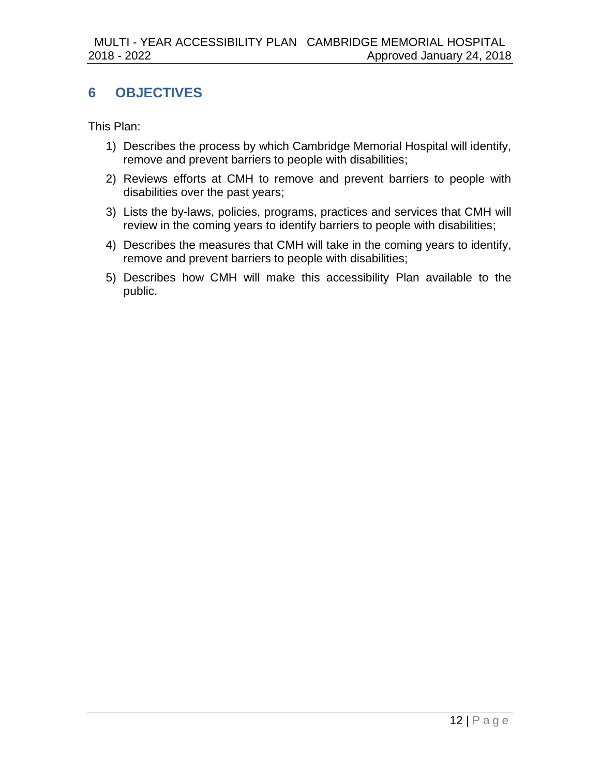# <span id="page-11-0"></span>**6 OBJECTIVES**

This Plan:

- 1) Describes the process by which Cambridge Memorial Hospital will identify, remove and prevent barriers to people with disabilities;
- 2) Reviews efforts at CMH to remove and prevent barriers to people with disabilities over the past years;
- 3) Lists the by-laws, policies, programs, practices and services that CMH will review in the coming years to identify barriers to people with disabilities;
- 4) Describes the measures that CMH will take in the coming years to identify, remove and prevent barriers to people with disabilities;
- 5) Describes how CMH will make this accessibility Plan available to the public.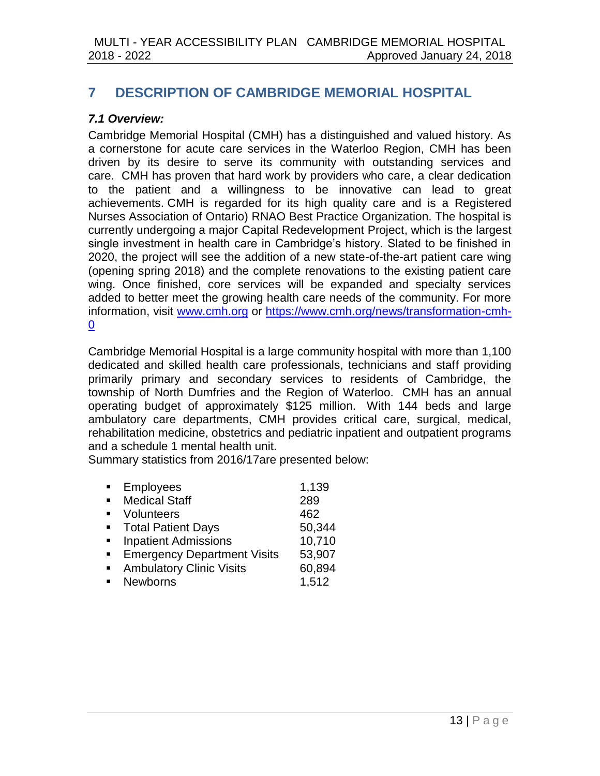# <span id="page-12-0"></span>**7 DESCRIPTION OF CAMBRIDGE MEMORIAL HOSPITAL**

### <span id="page-12-1"></span>*7.1 Overview:*

Cambridge Memorial Hospital (CMH) has a distinguished and valued history. As a cornerstone for acute care services in the Waterloo Region, CMH has been driven by its desire to serve its community with outstanding services and care. CMH has proven that hard work by providers who care, a clear dedication to the patient and a willingness to be innovative can lead to great achievements. CMH is regarded for its high quality care and is a Registered Nurses Association of Ontario) RNAO Best Practice Organization. The hospital is currently undergoing a major Capital Redevelopment Project, which is the largest single investment in health care in Cambridge's history. Slated to be finished in 2020, the project will see the addition of a new state-of-the-art patient care wing (opening spring 2018) and the complete renovations to the existing patient care wing. Once finished, core services will be expanded and specialty services added to better meet the growing health care needs of the community. For more information, visit [www.cmh.org](http://www.cmh.org/) or [https://www.cmh.org/news/transformation-cmh-](https://www.cmh.org/news/transformation-cmh-0) $\overline{0}$  $\overline{0}$  $\overline{0}$ 

Cambridge Memorial Hospital is a large community hospital with more than 1,100 dedicated and skilled health care professionals, technicians and staff providing primarily primary and secondary services to residents of Cambridge, the township of North Dumfries and the Region of Waterloo. CMH has an annual operating budget of approximately \$125 million. With 144 beds and large ambulatory care departments, CMH provides critical care, surgical, medical, rehabilitation medicine, obstetrics and pediatric inpatient and outpatient programs and a schedule 1 mental health unit.

Summary statistics from 2016/17are presented below:

|                | <b>Employees</b>                   | 1,139  |
|----------------|------------------------------------|--------|
| $\blacksquare$ | <b>Medical Staff</b>               | 289    |
|                | Volunteers                         | 462    |
|                | <b>Total Patient Days</b>          | 50,344 |
|                | <b>Inpatient Admissions</b>        | 10,710 |
|                | <b>Emergency Department Visits</b> | 53,907 |
|                | <b>Ambulatory Clinic Visits</b>    | 60,894 |
|                | <b>Newborns</b>                    | 1,512  |
|                |                                    |        |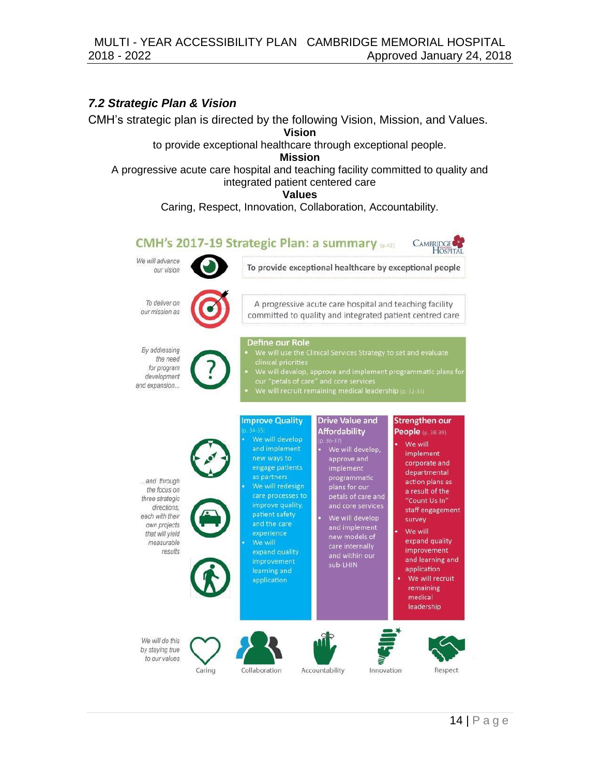#### <span id="page-13-0"></span>*7.2 Strategic Plan & Vision*

CMH's strategic plan is directed by the following Vision, Mission, and Values.

**Vision** to provide exceptional healthcare through exceptional people.

**Mission**

A progressive acute care hospital and teaching facility committed to quality and integrated patient centered care

**Values**

Caring, Respect, Innovation, Collaboration, Accountability.

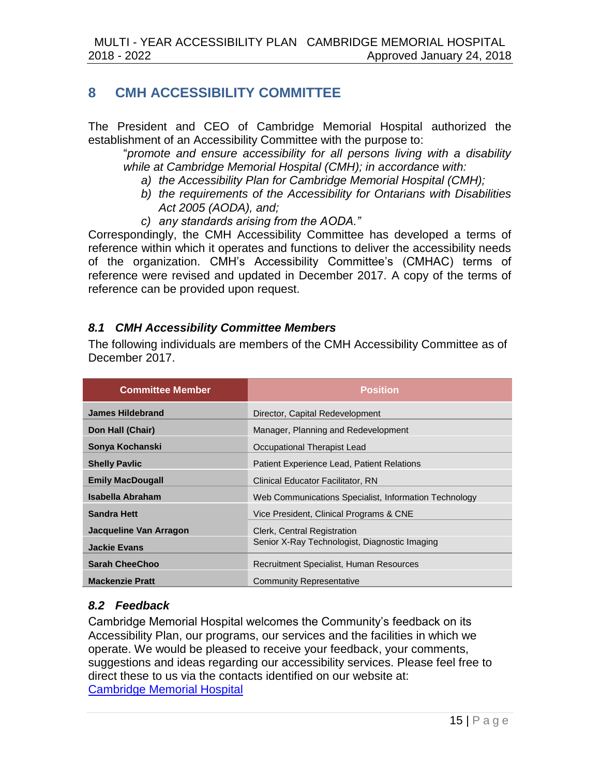## <span id="page-14-0"></span>**8 CMH ACCESSIBILITY COMMITTEE**

The President and CEO of Cambridge Memorial Hospital authorized the establishment of an Accessibility Committee with the purpose to:

"*promote and ensure accessibility for all persons living with a disability while at Cambridge Memorial Hospital (CMH); in accordance with:*

- *a) the Accessibility Plan for Cambridge Memorial Hospital (CMH);*
- *b) the requirements of the Accessibility for Ontarians with Disabilities Act 2005 (AODA), and;*
- *c) any standards arising from the AODA."*

Correspondingly, the CMH Accessibility Committee has developed a terms of reference within which it operates and functions to deliver the accessibility needs of the organization. CMH's Accessibility Committee's (CMHAC) terms of reference were revised and updated in December 2017. A copy of the terms of reference can be provided upon request.

### <span id="page-14-1"></span>*8.1 CMH Accessibility Committee Members*

The following individuals are members of the CMH Accessibility Committee as of December 2017.

| <b>Committee Member</b> | <b>Position</b>                                       |
|-------------------------|-------------------------------------------------------|
| <b>James Hildebrand</b> | Director, Capital Redevelopment                       |
| Don Hall (Chair)        | Manager, Planning and Redevelopment                   |
| Sonya Kochanski         | Occupational Therapist Lead                           |
| <b>Shelly Pavlic</b>    | Patient Experience Lead, Patient Relations            |
| <b>Emily MacDougall</b> | Clinical Educator Facilitator, RN                     |
| Isabella Abraham        | Web Communications Specialist, Information Technology |
| <b>Sandra Hett</b>      | Vice President, Clinical Programs & CNE               |
| Jacqueline Van Arragon  | Clerk, Central Registration                           |
| <b>Jackie Evans</b>     | Senior X-Ray Technologist, Diagnostic Imaging         |
| <b>Sarah CheeChoo</b>   | Recruitment Specialist, Human Resources               |
| <b>Mackenzie Pratt</b>  | <b>Community Representative</b>                       |

### <span id="page-14-2"></span>*8.2 Feedback*

Cambridge Memorial Hospital welcomes the Community's feedback on its Accessibility Plan, our programs, our services and the facilities in which we operate. We would be pleased to receive your feedback, your comments, suggestions and ideas regarding our accessibility services. Please feel free to direct these to us via the contacts identified on our website at: [Cambridge Memorial Hospital](http://www.cmh.org/)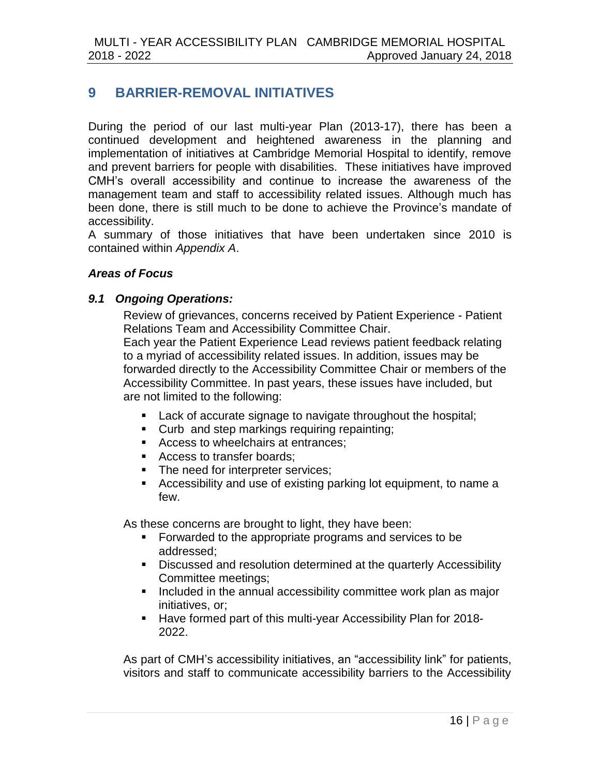# <span id="page-15-0"></span>**9 BARRIER-REMOVAL INITIATIVES**

During the period of our last multi-year Plan (2013-17), there has been a continued development and heightened awareness in the planning and implementation of initiatives at Cambridge Memorial Hospital to identify, remove and prevent barriers for people with disabilities. These initiatives have improved CMH's overall accessibility and continue to increase the awareness of the management team and staff to accessibility related issues. Although much has been done, there is still much to be done to achieve the Province's mandate of accessibility.

A summary of those initiatives that have been undertaken since 2010 is contained within *Appendix A*.

#### <span id="page-15-1"></span>*Areas of Focus*

#### <span id="page-15-2"></span>*9.1 Ongoing Operations:*

Review of grievances, concerns received by Patient Experience - Patient Relations Team and Accessibility Committee Chair. Each year the Patient Experience Lead reviews patient feedback relating to a myriad of accessibility related issues. In addition, issues may be forwarded directly to the Accessibility Committee Chair or members of the Accessibility Committee. In past years, these issues have included, but are not limited to the following:

- **Lack of accurate signage to navigate throughout the hospital;**
- **Curb and step markings requiring repainting;**
- Access to wheelchairs at entrances:
- Access to transfer boards;
- The need for interpreter services:
- Accessibility and use of existing parking lot equipment, to name a few.

As these concerns are brought to light, they have been:

- Forwarded to the appropriate programs and services to be addressed;
- Discussed and resolution determined at the quarterly Accessibility Committee meetings;
- **Included in the annual accessibility committee work plan as major** initiatives, or;
- Have formed part of this multi-year Accessibility Plan for 2018- 2022.

As part of CMH's accessibility initiatives, an "accessibility link" for patients, visitors and staff to communicate accessibility barriers to the Accessibility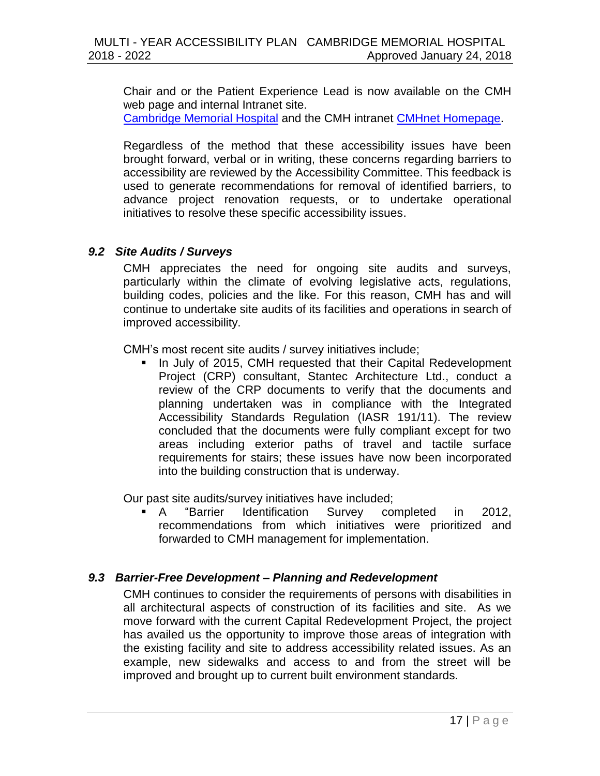Chair and or the Patient Experience Lead is now available on the CMH web page and internal Intranet site.

[Cambridge Memorial Hospital](http://www.cmh.org/) and the CMH intranet [CMHnet Homepage.](http://cmhnet/)

Regardless of the method that these accessibility issues have been brought forward, verbal or in writing, these concerns regarding barriers to accessibility are reviewed by the Accessibility Committee. This feedback is used to generate recommendations for removal of identified barriers, to advance project renovation requests, or to undertake operational initiatives to resolve these specific accessibility issues.

#### <span id="page-16-0"></span>*9.2 Site Audits / Surveys*

CMH appreciates the need for ongoing site audits and surveys, particularly within the climate of evolving legislative acts, regulations, building codes, policies and the like. For this reason, CMH has and will continue to undertake site audits of its facilities and operations in search of improved accessibility.

CMH's most recent site audits / survey initiatives include;

 In July of 2015, CMH requested that their Capital Redevelopment Project (CRP) consultant, Stantec Architecture Ltd., conduct a review of the CRP documents to verify that the documents and planning undertaken was in compliance with the Integrated Accessibility Standards Regulation (IASR 191/11). The review concluded that the documents were fully compliant except for two areas including exterior paths of travel and tactile surface requirements for stairs; these issues have now been incorporated into the building construction that is underway.

Our past site audits/survey initiatives have included;

 A "Barrier Identification Survey completed in 2012, recommendations from which initiatives were prioritized and forwarded to CMH management for implementation.

#### <span id="page-16-1"></span>*9.3 Barrier-Free Development – Planning and Redevelopment*

CMH continues to consider the requirements of persons with disabilities in all architectural aspects of construction of its facilities and site. As we move forward with the current Capital Redevelopment Project, the project has availed us the opportunity to improve those areas of integration with the existing facility and site to address accessibility related issues. As an example, new sidewalks and access to and from the street will be improved and brought up to current built environment standards.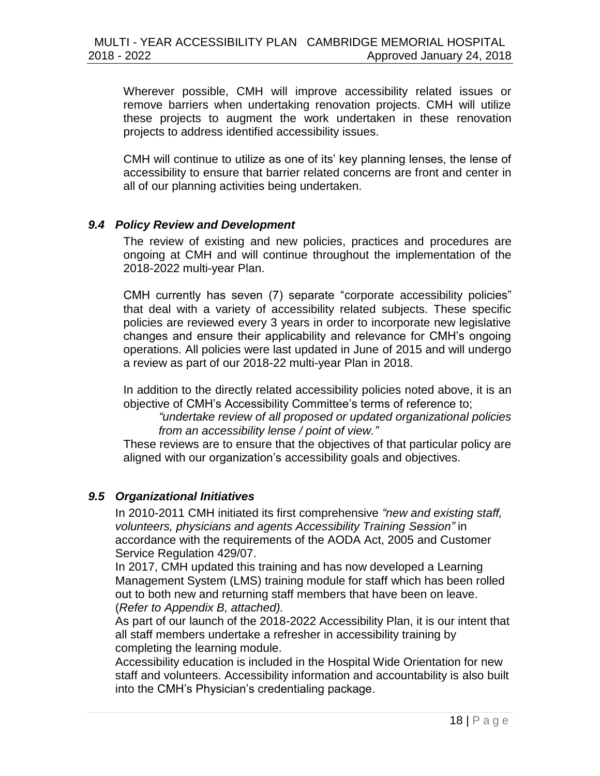Wherever possible, CMH will improve accessibility related issues or remove barriers when undertaking renovation projects. CMH will utilize these projects to augment the work undertaken in these renovation projects to address identified accessibility issues.

CMH will continue to utilize as one of its' key planning lenses, the lense of accessibility to ensure that barrier related concerns are front and center in all of our planning activities being undertaken.

#### <span id="page-17-0"></span>*9.4 Policy Review and Development*

The review of existing and new policies, practices and procedures are ongoing at CMH and will continue throughout the implementation of the 2018-2022 multi-year Plan.

CMH currently has seven (7) separate "corporate accessibility policies" that deal with a variety of accessibility related subjects. These specific policies are reviewed every 3 years in order to incorporate new legislative changes and ensure their applicability and relevance for CMH's ongoing operations. All policies were last updated in June of 2015 and will undergo a review as part of our 2018-22 multi-year Plan in 2018.

In addition to the directly related accessibility policies noted above, it is an objective of CMH's Accessibility Committee's terms of reference to;

*"undertake review of all proposed or updated organizational policies from an accessibility lense / point of view."* 

These reviews are to ensure that the objectives of that particular policy are aligned with our organization's accessibility goals and objectives.

### <span id="page-17-1"></span>*9.5 Organizational Initiatives*

In 2010-2011 CMH initiated its first comprehensive *"new and existing staff, volunteers, physicians and agents Accessibility Training Session"* in accordance with the requirements of the AODA Act, 2005 and Customer Service Regulation 429/07.

In 2017, CMH updated this training and has now developed a Learning Management System (LMS) training module for staff which has been rolled out to both new and returning staff members that have been on leave. (*Refer to Appendix B, attached).*

As part of our launch of the 2018-2022 Accessibility Plan, it is our intent that all staff members undertake a refresher in accessibility training by completing the learning module.

Accessibility education is included in the Hospital Wide Orientation for new staff and volunteers. Accessibility information and accountability is also built into the CMH's Physician's credentialing package.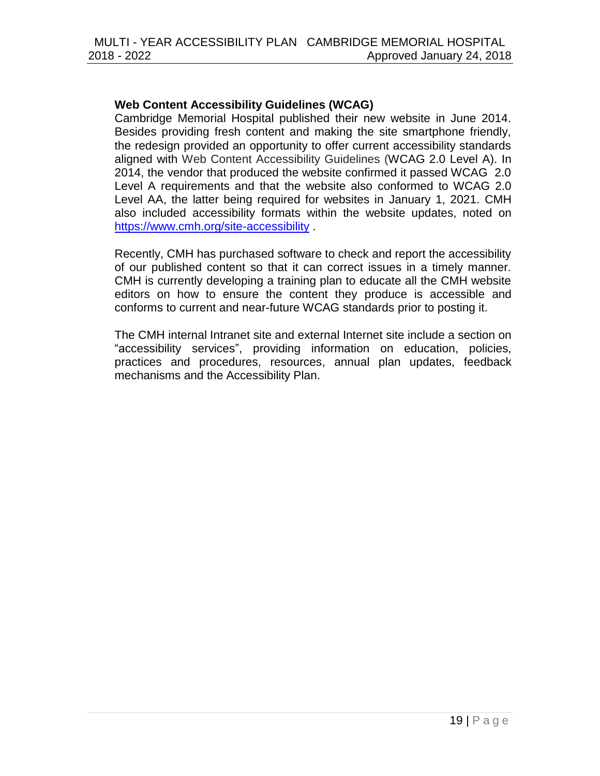#### **Web Content Accessibility Guidelines (WCAG)**

Cambridge Memorial Hospital published their new website in June 2014. Besides providing fresh content and making the site smartphone friendly, the redesign provided an opportunity to offer current accessibility standards aligned with Web Content Accessibility Guidelines (WCAG 2.0 Level A). In 2014, the vendor that produced the website confirmed it passed WCAG 2.0 Level A requirements and that the website also conformed to WCAG 2.0 Level AA, the latter being required for websites in January 1, 2021. CMH also included accessibility formats within the website updates, noted on <https://www.cmh.org/site-accessibility> .

Recently, CMH has purchased software to check and report the accessibility of our published content so that it can correct issues in a timely manner. CMH is currently developing a training plan to educate all the CMH website editors on how to ensure the content they produce is accessible and conforms to current and near-future WCAG standards prior to posting it.

The CMH internal Intranet site and external Internet site include a section on "accessibility services", providing information on education, policies, practices and procedures, resources, annual plan updates, feedback mechanisms and the Accessibility Plan.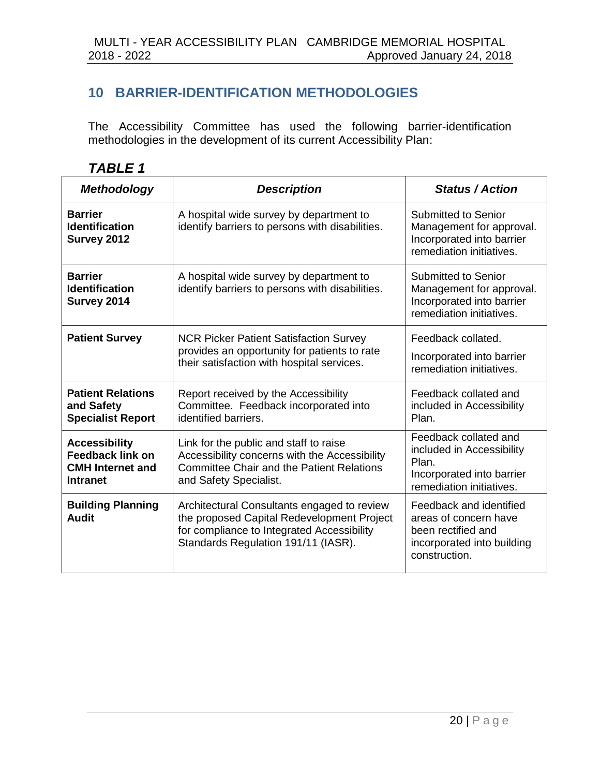# <span id="page-19-0"></span>**10 BARRIER-IDENTIFICATION METHODOLOGIES**

The Accessibility Committee has used the following barrier-identification methodologies in the development of its current Accessibility Plan:

| , ,<br>o<br>Д<br>۱<br>J<br>. . |  |
|--------------------------------|--|
|--------------------------------|--|

| <b>Methodology</b>                                                                            | <b>Description</b>                                                                                                                                                             | <b>Status / Action</b>                                                                                                |
|-----------------------------------------------------------------------------------------------|--------------------------------------------------------------------------------------------------------------------------------------------------------------------------------|-----------------------------------------------------------------------------------------------------------------------|
| <b>Barrier</b><br><b>Identification</b><br>Survey 2012                                        | A hospital wide survey by department to<br>identify barriers to persons with disabilities.                                                                                     | Submitted to Senior<br>Management for approval.<br>Incorporated into barrier<br>remediation initiatives.              |
| <b>Barrier</b><br><b>Identification</b><br>Survey 2014                                        | A hospital wide survey by department to<br>identify barriers to persons with disabilities.                                                                                     | Submitted to Senior<br>Management for approval.<br>Incorporated into barrier<br>remediation initiatives.              |
| <b>Patient Survey</b>                                                                         | <b>NCR Picker Patient Satisfaction Survey</b><br>provides an opportunity for patients to rate<br>their satisfaction with hospital services.                                    | Feedback collated.<br>Incorporated into barrier<br>remediation initiatives.                                           |
| <b>Patient Relations</b><br>and Safety<br><b>Specialist Report</b>                            | Report received by the Accessibility<br>Committee. Feedback incorporated into<br>identified barriers.                                                                          | Feedback collated and<br>included in Accessibility<br>Plan.                                                           |
| <b>Accessibility</b><br><b>Feedback link on</b><br><b>CMH</b> Internet and<br><b>Intranet</b> | Link for the public and staff to raise<br>Accessibility concerns with the Accessibility<br><b>Committee Chair and the Patient Relations</b><br>and Safety Specialist.          | Feedback collated and<br>included in Accessibility<br>Plan.<br>Incorporated into barrier<br>remediation initiatives.  |
| <b>Building Planning</b><br>Audit                                                             | Architectural Consultants engaged to review<br>the proposed Capital Redevelopment Project<br>for compliance to Integrated Accessibility<br>Standards Regulation 191/11 (IASR). | Feedback and identified<br>areas of concern have<br>been rectified and<br>incorporated into building<br>construction. |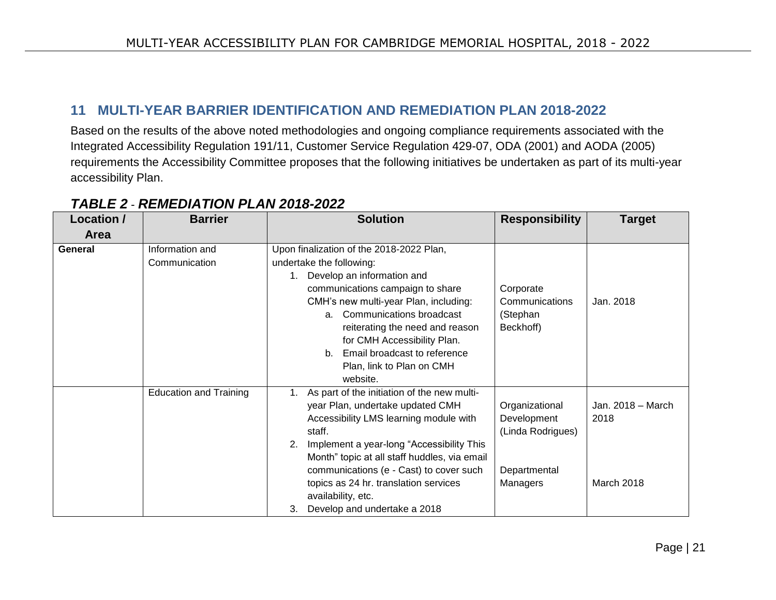### **11 MULTI-YEAR BARRIER IDENTIFICATION AND REMEDIATION PLAN 2018-2022**

Based on the results of the above noted methodologies and ongoing compliance requirements associated with the Integrated Accessibility Regulation 191/11, Customer Service Regulation 429-07, ODA (2001) and AODA (2005) requirements the Accessibility Committee proposes that the following initiatives be undertaken as part of its multi-year accessibility Plan.

<span id="page-20-0"></span>

| Location /  | <b>Barrier</b>                | <b>Solution</b>                                   | <b>Responsibility</b> | <b>Target</b>     |
|-------------|-------------------------------|---------------------------------------------------|-----------------------|-------------------|
| <b>Area</b> |                               |                                                   |                       |                   |
| General     | Information and               | Upon finalization of the 2018-2022 Plan,          |                       |                   |
|             | Communication                 | undertake the following:                          |                       |                   |
|             |                               | Develop an information and<br>$1_{\cdot}$         |                       |                   |
|             |                               | communications campaign to share                  | Corporate             |                   |
|             |                               | CMH's new multi-year Plan, including:             | Communications        | Jan. 2018         |
|             |                               | a. Communications broadcast                       | (Stephan              |                   |
|             |                               | reiterating the need and reason                   | Beckhoff)             |                   |
|             |                               | for CMH Accessibility Plan.                       |                       |                   |
|             |                               | Email broadcast to reference<br>b.                |                       |                   |
|             |                               | Plan, link to Plan on CMH                         |                       |                   |
|             |                               | website.                                          |                       |                   |
|             | <b>Education and Training</b> | As part of the initiation of the new multi-<br>1. |                       |                   |
|             |                               | year Plan, undertake updated CMH                  | Organizational        | Jan. 2018 - March |
|             |                               | Accessibility LMS learning module with            | Development           | 2018              |
|             |                               | staff.                                            | (Linda Rodrigues)     |                   |
|             |                               | Implement a year-long "Accessibility This<br>2.   |                       |                   |
|             |                               | Month" topic at all staff huddles, via email      |                       |                   |
|             |                               | communications (e - Cast) to cover such           | Departmental          |                   |
|             |                               | topics as 24 hr. translation services             | Managers              | March 2018        |
|             |                               | availability, etc.                                |                       |                   |
|             |                               | 3.<br>Develop and undertake a 2018                |                       |                   |

# *TABLE 2* - *REMEDIATION PLAN 2018-2022*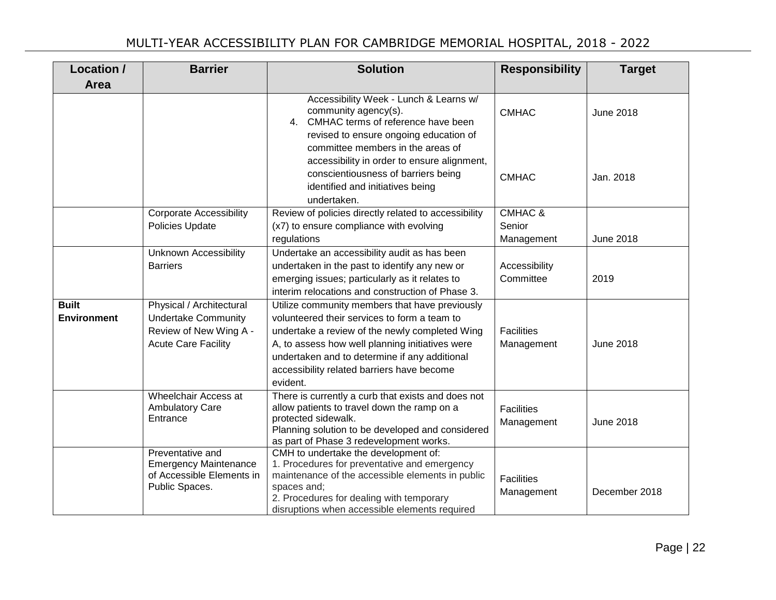| Location /                         | <b>Barrier</b>                                                                                                 | <b>Solution</b>                                                                                                                                                                                                                                                                                                | <b>Responsibility</b>           | <b>Target</b>    |
|------------------------------------|----------------------------------------------------------------------------------------------------------------|----------------------------------------------------------------------------------------------------------------------------------------------------------------------------------------------------------------------------------------------------------------------------------------------------------------|---------------------------------|------------------|
| Area                               |                                                                                                                |                                                                                                                                                                                                                                                                                                                |                                 |                  |
|                                    |                                                                                                                | Accessibility Week - Lunch & Learns w/<br>community agency(s).<br>4. CMHAC terms of reference have been<br>revised to ensure ongoing education of                                                                                                                                                              | <b>CMHAC</b>                    | <b>June 2018</b> |
|                                    |                                                                                                                | committee members in the areas of<br>accessibility in order to ensure alignment,<br>conscientiousness of barriers being<br>identified and initiatives being<br>undertaken.                                                                                                                                     | <b>CMHAC</b>                    | Jan. 2018        |
|                                    | <b>Corporate Accessibility</b>                                                                                 | Review of policies directly related to accessibility                                                                                                                                                                                                                                                           | <b>CMHAC &amp;</b>              |                  |
|                                    | Policies Update                                                                                                | (x7) to ensure compliance with evolving<br>regulations                                                                                                                                                                                                                                                         | Senior<br>Management            | <b>June 2018</b> |
|                                    | <b>Unknown Accessibility</b><br><b>Barriers</b>                                                                | Undertake an accessibility audit as has been<br>undertaken in the past to identify any new or<br>emerging issues; particularly as it relates to<br>interim relocations and construction of Phase 3.                                                                                                            | Accessibility<br>Committee      | 2019             |
| <b>Built</b><br><b>Environment</b> | Physical / Architectural<br><b>Undertake Community</b><br>Review of New Wing A -<br><b>Acute Care Facility</b> | Utilize community members that have previously<br>volunteered their services to form a team to<br>undertake a review of the newly completed Wing<br>A, to assess how well planning initiatives were<br>undertaken and to determine if any additional<br>accessibility related barriers have become<br>evident. | <b>Facilities</b><br>Management | <b>June 2018</b> |
|                                    | Wheelchair Access at<br><b>Ambulatory Care</b><br>Entrance                                                     | There is currently a curb that exists and does not<br>allow patients to travel down the ramp on a<br>protected sidewalk.<br>Planning solution to be developed and considered<br>as part of Phase 3 redevelopment works.                                                                                        | <b>Facilities</b><br>Management | <b>June 2018</b> |
|                                    | Preventative and<br><b>Emergency Maintenance</b><br>of Accessible Elements in<br>Public Spaces.                | CMH to undertake the development of:<br>1. Procedures for preventative and emergency<br>maintenance of the accessible elements in public<br>spaces and;<br>2. Procedures for dealing with temporary<br>disruptions when accessible elements required                                                           | <b>Facilities</b><br>Management | December 2018    |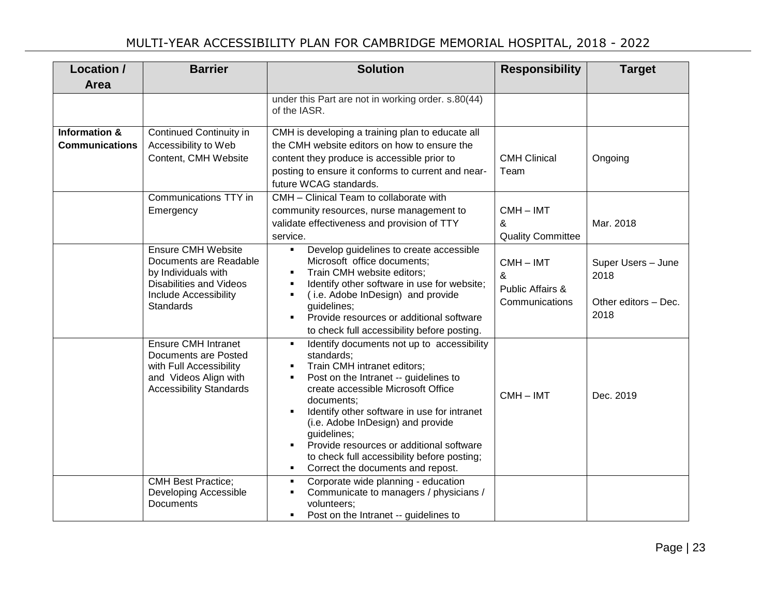| Location /                                        | <b>Barrier</b>                                                                                                                                            | <b>Solution</b>                                                                                                                                                                                                                                                                                                                                                                                                                                                                 | <b>Responsibility</b>                                                      | <b>Target</b>                                              |
|---------------------------------------------------|-----------------------------------------------------------------------------------------------------------------------------------------------------------|---------------------------------------------------------------------------------------------------------------------------------------------------------------------------------------------------------------------------------------------------------------------------------------------------------------------------------------------------------------------------------------------------------------------------------------------------------------------------------|----------------------------------------------------------------------------|------------------------------------------------------------|
| Area                                              |                                                                                                                                                           |                                                                                                                                                                                                                                                                                                                                                                                                                                                                                 |                                                                            |                                                            |
|                                                   |                                                                                                                                                           | under this Part are not in working order. s.80(44)<br>of the IASR.                                                                                                                                                                                                                                                                                                                                                                                                              |                                                                            |                                                            |
| <b>Information &amp;</b><br><b>Communications</b> | Continued Continuity in<br>Accessibility to Web<br>Content, CMH Website                                                                                   | CMH is developing a training plan to educate all<br>the CMH website editors on how to ensure the<br>content they produce is accessible prior to<br>posting to ensure it conforms to current and near-<br>future WCAG standards.                                                                                                                                                                                                                                                 | <b>CMH Clinical</b><br>Team                                                | Ongoing                                                    |
|                                                   | Communications TTY in<br>Emergency                                                                                                                        | CMH - Clinical Team to collaborate with<br>community resources, nurse management to<br>validate effectiveness and provision of TTY<br>service.                                                                                                                                                                                                                                                                                                                                  | $CMH - IMT$<br>&<br><b>Quality Committee</b>                               | Mar. 2018                                                  |
|                                                   | <b>Ensure CMH Website</b><br>Documents are Readable<br>by Individuals with<br><b>Disabilities and Videos</b><br><b>Include Accessibility</b><br>Standards | Develop guidelines to create accessible<br>٠<br>Microsoft office documents;<br>Train CMH website editors;<br>٠<br>Identify other software in use for website;<br>٠<br>(i.e. Adobe InDesign) and provide<br>guidelines;<br>Provide resources or additional software<br>to check full accessibility before posting.                                                                                                                                                               | $CMH - IMT$<br>$\boldsymbol{\alpha}$<br>Public Affairs &<br>Communications | Super Users - June<br>2018<br>Other editors - Dec.<br>2018 |
|                                                   | <b>Ensure CMH Intranet</b><br>Documents are Posted<br>with Full Accessibility<br>and Videos Align with<br><b>Accessibility Standards</b>                  | Identify documents not up to accessibility<br>٠<br>standards;<br>Train CMH intranet editors;<br>$\blacksquare$<br>Post on the Intranet -- guidelines to<br>$\blacksquare$<br>create accessible Microsoft Office<br>documents:<br>Identify other software in use for intranet<br>٠<br>(i.e. Adobe InDesign) and provide<br>guidelines;<br>Provide resources or additional software<br>٠<br>to check full accessibility before posting;<br>Correct the documents and repost.<br>٠ | $CMH - IMT$                                                                | Dec. 2019                                                  |
|                                                   | <b>CMH Best Practice;</b><br>Developing Accessible<br>Documents                                                                                           | Corporate wide planning - education<br>٠<br>Communicate to managers / physicians /<br>٠<br>volunteers;<br>Post on the Intranet -- guidelines to<br>$\blacksquare$                                                                                                                                                                                                                                                                                                               |                                                                            |                                                            |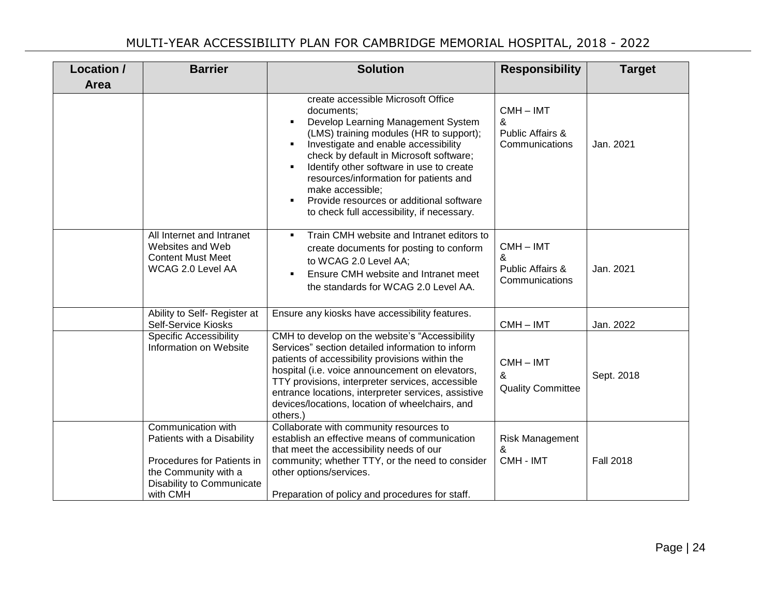| Location / | <b>Barrier</b>                                                                                                                                  | <b>Solution</b>                                                                                                                                                                                                                                                                                                                                                                                                                                           | <b>Responsibility</b>                                  | <b>Target</b>    |
|------------|-------------------------------------------------------------------------------------------------------------------------------------------------|-----------------------------------------------------------------------------------------------------------------------------------------------------------------------------------------------------------------------------------------------------------------------------------------------------------------------------------------------------------------------------------------------------------------------------------------------------------|--------------------------------------------------------|------------------|
| Area       |                                                                                                                                                 |                                                                                                                                                                                                                                                                                                                                                                                                                                                           |                                                        |                  |
|            |                                                                                                                                                 | create accessible Microsoft Office<br>documents:<br>Develop Learning Management System<br>٠<br>(LMS) training modules (HR to support);<br>Investigate and enable accessibility<br>$\blacksquare$<br>check by default in Microsoft software;<br>Identify other software in use to create<br>٠<br>resources/information for patients and<br>make accessible;<br>Provide resources or additional software<br>٠<br>to check full accessibility, if necessary. | $CMH - IMT$<br>&<br>Public Affairs &<br>Communications | Jan. 2021        |
|            | All Internet and Intranet<br>Websites and Web<br><b>Content Must Meet</b><br>WCAG 2.0 Level AA                                                  | Train CMH website and Intranet editors to<br>٠<br>create documents for posting to conform<br>to WCAG 2.0 Level AA;<br>Ensure CMH website and Intranet meet<br>٠<br>the standards for WCAG 2.0 Level AA.                                                                                                                                                                                                                                                   | $CMH - IMT$<br>&<br>Public Affairs &<br>Communications | Jan. 2021        |
|            | Ability to Self- Register at<br>Self-Service Kiosks                                                                                             | Ensure any kiosks have accessibility features.                                                                                                                                                                                                                                                                                                                                                                                                            | CMH-IMT                                                | Jan. 2022        |
|            | <b>Specific Accessibility</b><br>Information on Website                                                                                         | CMH to develop on the website's "Accessibility<br>Services" section detailed information to inform<br>patients of accessibility provisions within the<br>hospital (i.e. voice announcement on elevators,<br>TTY provisions, interpreter services, accessible<br>entrance locations, interpreter services, assistive<br>devices/locations, location of wheelchairs, and<br>others.)                                                                        | $CMH - IMT$<br>&<br><b>Quality Committee</b>           | Sept. 2018       |
|            | Communication with<br>Patients with a Disability<br>Procedures for Patients in<br>the Community with a<br>Disability to Communicate<br>with CMH | Collaborate with community resources to<br>establish an effective means of communication<br>that meet the accessibility needs of our<br>community; whether TTY, or the need to consider<br>other options/services.<br>Preparation of policy and procedures for staff.                                                                                                                                                                                     | Risk Management<br>&<br>CMH - IMT                      | <b>Fall 2018</b> |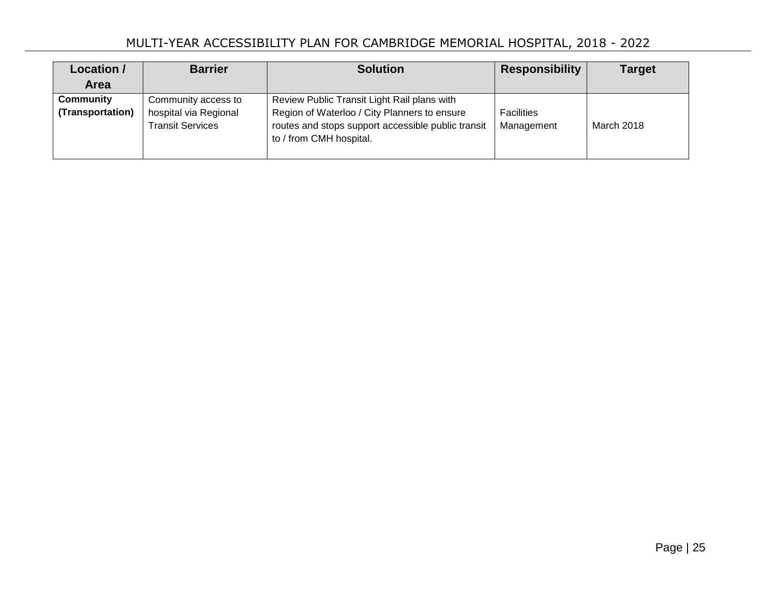| Location /<br><b>Area</b>     | <b>Barrier</b>                                                          | <b>Solution</b>                                                                                                                                                              | <b>Responsibility</b> | <b>Target</b> |
|-------------------------------|-------------------------------------------------------------------------|------------------------------------------------------------------------------------------------------------------------------------------------------------------------------|-----------------------|---------------|
| Community<br>(Transportation) | Community access to<br>hospital via Regional<br><b>Transit Services</b> | Review Public Transit Light Rail plans with<br>Region of Waterloo / City Planners to ensure<br>routes and stops support accessible public transit<br>to / from CMH hospital. |                       | March 2018    |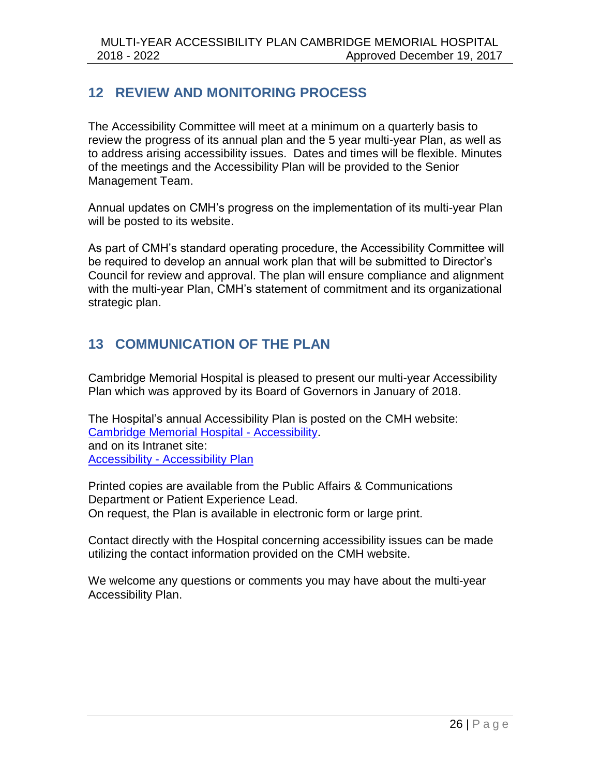# <span id="page-25-0"></span>**12 REVIEW AND MONITORING PROCESS**

The Accessibility Committee will meet at a minimum on a quarterly basis to review the progress of its annual plan and the 5 year multi-year Plan, as well as to address arising accessibility issues. Dates and times will be flexible. Minutes of the meetings and the Accessibility Plan will be provided to the Senior Management Team.

Annual updates on CMH's progress on the implementation of its multi-year Plan will be posted to its website.

As part of CMH's standard operating procedure, the Accessibility Committee will be required to develop an annual work plan that will be submitted to Director's Council for review and approval. The plan will ensure compliance and alignment with the multi-year Plan, CMH's statement of commitment and its organizational strategic plan.

# <span id="page-25-1"></span>**13 COMMUNICATION OF THE PLAN**

Cambridge Memorial Hospital is pleased to present our multi-year Accessibility Plan which was approved by its Board of Governors in January of 2018.

The Hospital's annual Accessibility Plan is posted on the CMH website: [Cambridge Memorial Hospital -](http://www.cmh.org/cmh_accessibility.php) Accessibility. and on its Intranet site: Accessibility - [Accessibility Plan](http://cmhnet/accessibility/accessibility_plan.htm) 

Printed copies are available from the Public Affairs & Communications Department or Patient Experience Lead. On request, the Plan is available in electronic form or large print.

Contact directly with the Hospital concerning accessibility issues can be made utilizing the contact information provided on the CMH website.

We welcome any questions or comments you may have about the multi-year Accessibility Plan.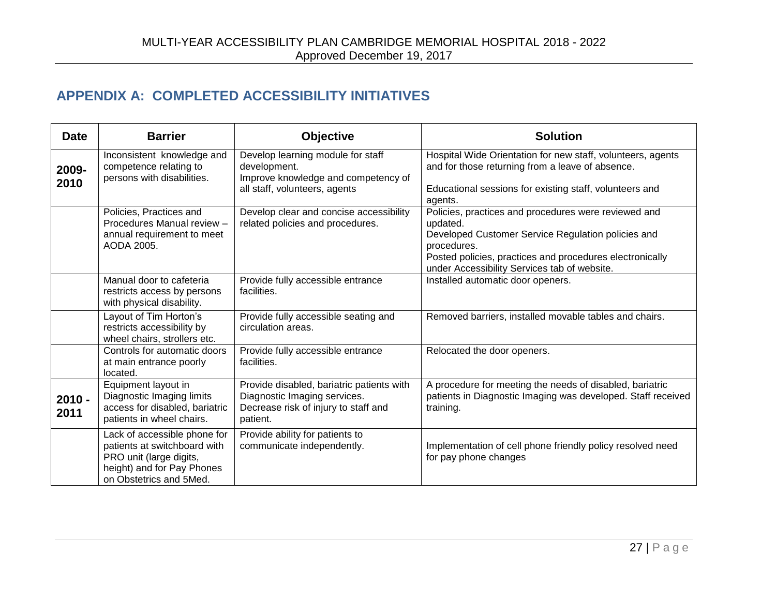# **APPENDIX A: COMPLETED ACCESSIBILITY INITIATIVES**

<span id="page-26-0"></span>

| <b>Date</b>      | <b>Barrier</b>                                                                                                                                   | <b>Objective</b>                                                                                                              | <b>Solution</b>                                                                                                                       |
|------------------|--------------------------------------------------------------------------------------------------------------------------------------------------|-------------------------------------------------------------------------------------------------------------------------------|---------------------------------------------------------------------------------------------------------------------------------------|
| 2009-<br>2010    | Inconsistent knowledge and<br>competence relating to<br>persons with disabilities.                                                               | Develop learning module for staff<br>development.<br>Improve knowledge and competency of                                      | Hospital Wide Orientation for new staff, volunteers, agents<br>and for those returning from a leave of absence.                       |
|                  |                                                                                                                                                  | all staff, volunteers, agents                                                                                                 | Educational sessions for existing staff, volunteers and<br>agents.                                                                    |
|                  | Policies, Practices and<br>Procedures Manual review -                                                                                            | Develop clear and concise accessibility<br>related policies and procedures.                                                   | Policies, practices and procedures were reviewed and<br>updated.                                                                      |
|                  | annual requirement to meet<br>AODA 2005.                                                                                                         |                                                                                                                               | Developed Customer Service Regulation policies and<br>procedures.                                                                     |
|                  |                                                                                                                                                  |                                                                                                                               | Posted policies, practices and procedures electronically<br>under Accessibility Services tab of website.                              |
|                  | Manual door to cafeteria<br>restricts access by persons<br>with physical disability.                                                             | Provide fully accessible entrance<br>facilities.                                                                              | Installed automatic door openers.                                                                                                     |
|                  | Layout of Tim Horton's<br>restricts accessibility by<br>wheel chairs, strollers etc.                                                             | Provide fully accessible seating and<br>circulation areas.                                                                    | Removed barriers, installed movable tables and chairs.                                                                                |
|                  | Controls for automatic doors<br>at main entrance poorly<br>located.                                                                              | Provide fully accessible entrance<br>facilities.                                                                              | Relocated the door openers.                                                                                                           |
| $2010 -$<br>2011 | Equipment layout in<br>Diagnostic Imaging limits<br>access for disabled, bariatric<br>patients in wheel chairs.                                  | Provide disabled, bariatric patients with<br>Diagnostic Imaging services.<br>Decrease risk of injury to staff and<br>patient. | A procedure for meeting the needs of disabled, bariatric<br>patients in Diagnostic Imaging was developed. Staff received<br>training. |
|                  | Lack of accessible phone for<br>patients at switchboard with<br>PRO unit (large digits,<br>height) and for Pay Phones<br>on Obstetrics and 5Med. | Provide ability for patients to<br>communicate independently.                                                                 | Implementation of cell phone friendly policy resolved need<br>for pay phone changes                                                   |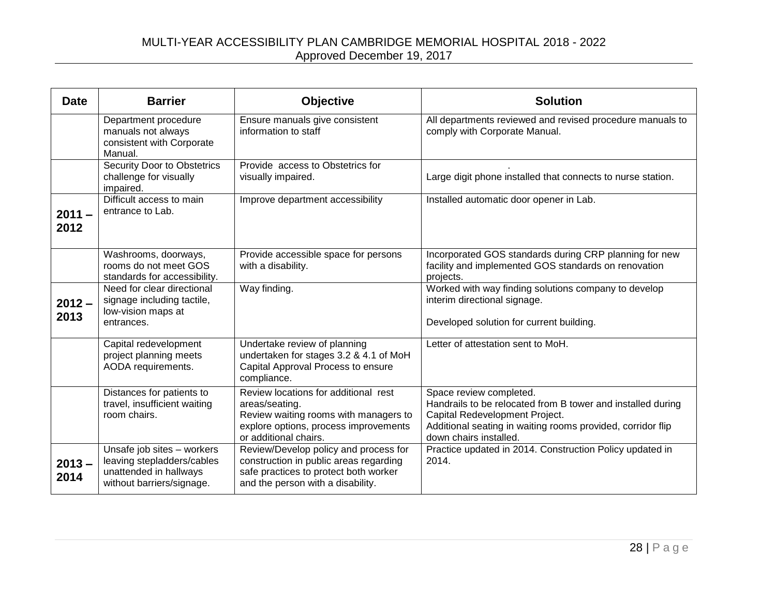### MULTI-YEAR ACCESSIBILITY PLAN CAMBRIDGE MEMORIAL HOSPITAL 2018 - 2022 Approved December 19, 2017

| <b>Date</b>      | <b>Barrier</b>                                                                                                  | <b>Objective</b>                                                                                                                                                  | <b>Solution</b>                                                                                                                                                                                                   |
|------------------|-----------------------------------------------------------------------------------------------------------------|-------------------------------------------------------------------------------------------------------------------------------------------------------------------|-------------------------------------------------------------------------------------------------------------------------------------------------------------------------------------------------------------------|
|                  | Department procedure<br>manuals not always<br>consistent with Corporate<br>Manual.                              | Ensure manuals give consistent<br>information to staff                                                                                                            | All departments reviewed and revised procedure manuals to<br>comply with Corporate Manual.                                                                                                                        |
|                  | <b>Security Door to Obstetrics</b><br>challenge for visually<br>impaired.                                       | Provide access to Obstetrics for<br>visually impaired.                                                                                                            | Large digit phone installed that connects to nurse station.                                                                                                                                                       |
| $2011 -$<br>2012 | Difficult access to main<br>entrance to Lab.                                                                    | Improve department accessibility                                                                                                                                  | Installed automatic door opener in Lab.                                                                                                                                                                           |
|                  | Washrooms, doorways,<br>rooms do not meet GOS<br>standards for accessibility.                                   | Provide accessible space for persons<br>with a disability.                                                                                                        | Incorporated GOS standards during CRP planning for new<br>facility and implemented GOS standards on renovation<br>projects.                                                                                       |
| $2012 -$<br>2013 | Need for clear directional<br>signage including tactile,<br>low-vision maps at<br>entrances.                    | Way finding.                                                                                                                                                      | Worked with way finding solutions company to develop<br>interim directional signage.<br>Developed solution for current building.                                                                                  |
|                  | Capital redevelopment<br>project planning meets<br>AODA requirements.                                           | Undertake review of planning<br>undertaken for stages 3.2 & 4.1 of MoH<br>Capital Approval Process to ensure<br>compliance.                                       | Letter of attestation sent to MoH.                                                                                                                                                                                |
|                  | Distances for patients to<br>travel, insufficient waiting<br>room chairs.                                       | Review locations for additional rest<br>areas/seating.<br>Review waiting rooms with managers to<br>explore options, process improvements<br>or additional chairs. | Space review completed.<br>Handrails to be relocated from B tower and installed during<br>Capital Redevelopment Project.<br>Additional seating in waiting rooms provided, corridor flip<br>down chairs installed. |
| $2013 -$<br>2014 | Unsafe job sites - workers<br>leaving stepladders/cables<br>unattended in hallways<br>without barriers/signage. | Review/Develop policy and process for<br>construction in public areas regarding<br>safe practices to protect both worker<br>and the person with a disability.     | Practice updated in 2014. Construction Policy updated in<br>2014.                                                                                                                                                 |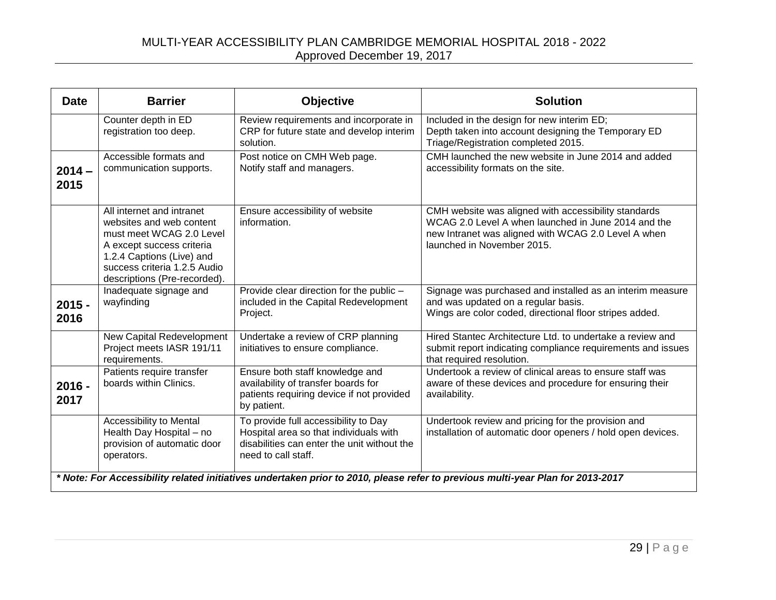### MULTI-YEAR ACCESSIBILITY PLAN CAMBRIDGE MEMORIAL HOSPITAL 2018 - 2022 Approved December 19, 2017

| <b>Date</b>                                                                                                                    | <b>Barrier</b>                                                                                                                                                                                              | <b>Objective</b>                                                                                                                                     | <b>Solution</b>                                                                                                                                                                                  |
|--------------------------------------------------------------------------------------------------------------------------------|-------------------------------------------------------------------------------------------------------------------------------------------------------------------------------------------------------------|------------------------------------------------------------------------------------------------------------------------------------------------------|--------------------------------------------------------------------------------------------------------------------------------------------------------------------------------------------------|
|                                                                                                                                | Counter depth in ED<br>registration too deep.                                                                                                                                                               | Review requirements and incorporate in<br>CRP for future state and develop interim<br>solution.                                                      | Included in the design for new interim ED;<br>Depth taken into account designing the Temporary ED<br>Triage/Registration completed 2015.                                                         |
| $2014 -$<br>2015                                                                                                               | Accessible formats and<br>communication supports.                                                                                                                                                           | Post notice on CMH Web page.<br>Notify staff and managers.                                                                                           | CMH launched the new website in June 2014 and added<br>accessibility formats on the site.                                                                                                        |
|                                                                                                                                | All internet and intranet<br>websites and web content<br>must meet WCAG 2.0 Level<br>A except success criteria<br>1.2.4 Captions (Live) and<br>success criteria 1.2.5 Audio<br>descriptions (Pre-recorded). | Ensure accessibility of website<br>information.                                                                                                      | CMH website was aligned with accessibility standards<br>WCAG 2.0 Level A when launched in June 2014 and the<br>new Intranet was aligned with WCAG 2.0 Level A when<br>launched in November 2015. |
| $2015 -$<br>2016                                                                                                               | Inadequate signage and<br>wayfinding                                                                                                                                                                        | Provide clear direction for the public -<br>included in the Capital Redevelopment<br>Project.                                                        | Signage was purchased and installed as an interim measure<br>and was updated on a regular basis.<br>Wings are color coded, directional floor stripes added.                                      |
|                                                                                                                                | New Capital Redevelopment<br>Project meets IASR 191/11<br>requirements.                                                                                                                                     | Undertake a review of CRP planning<br>initiatives to ensure compliance.                                                                              | Hired Stantec Architecture Ltd, to undertake a review and<br>submit report indicating compliance requirements and issues<br>that required resolution.                                            |
| $2016 -$<br>2017                                                                                                               | Patients require transfer<br>boards within Clinics.                                                                                                                                                         | Ensure both staff knowledge and<br>availability of transfer boards for<br>patients requiring device if not provided<br>by patient.                   | Undertook a review of clinical areas to ensure staff was<br>aware of these devices and procedure for ensuring their<br>availability.                                                             |
|                                                                                                                                | <b>Accessibility to Mental</b><br>Health Day Hospital - no<br>provision of automatic door<br>operators.                                                                                                     | To provide full accessibility to Day<br>Hospital area so that individuals with<br>disabilities can enter the unit without the<br>need to call staff. | Undertook review and pricing for the provision and<br>installation of automatic door openers / hold open devices.                                                                                |
| * Note: For Accessibility related initiatives undertaken prior to 2010, please refer to previous multi-year Plan for 2013-2017 |                                                                                                                                                                                                             |                                                                                                                                                      |                                                                                                                                                                                                  |